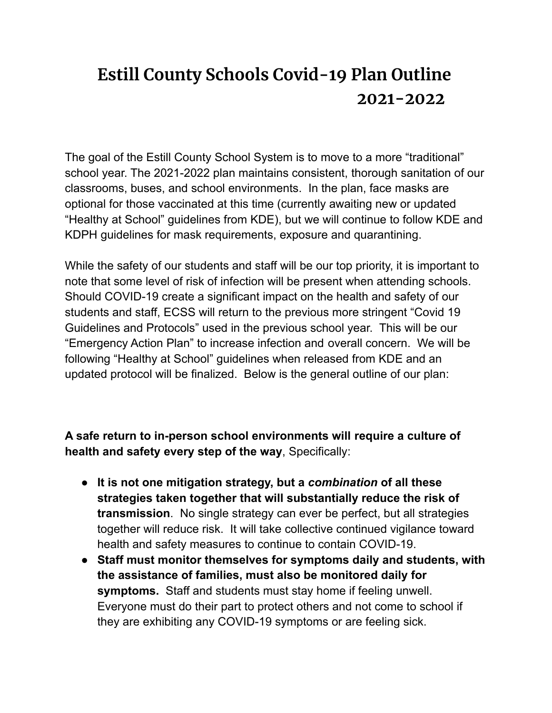## **Estill County Schools Covid-19 Plan Outline 2021-2022**

The goal of the Estill County School System is to move to a more "traditional" school year. The 2021-2022 plan maintains consistent, thorough sanitation of our classrooms, buses, and school environments. In the plan, face masks are optional for those vaccinated at this time (currently awaiting new or updated "Healthy at School" guidelines from KDE), but we will continue to follow KDE and KDPH guidelines for mask requirements, exposure and quarantining.

While the safety of our students and staff will be our top priority, it is important to note that some level of risk of infection will be present when attending schools. Should COVID-19 create a significant impact on the health and safety of our students and staff, ECSS will return to the previous more stringent "Covid 19 Guidelines and Protocols" used in the previous school year. This will be our "Emergency Action Plan" to increase infection and overall concern. We will be following "Healthy at School" guidelines when released from KDE and an updated protocol will be finalized. Below is the general outline of our plan:

**A safe return to in-person school environments will require a culture of health and safety every step of the way**, Specifically:

- **It is not one mitigation strategy, but a** *combination* **of all these strategies taken together that will substantially reduce the risk of transmission**. No single strategy can ever be perfect, but all strategies together will reduce risk. It will take collective continued vigilance toward health and safety measures to continue to contain COVID-19.
- **Staff must monitor themselves for symptoms daily and students, with the assistance of families, must also be monitored daily for symptoms.** Staff and students must stay home if feeling unwell. Everyone must do their part to protect others and not come to school if they are exhibiting any COVID-19 symptoms or are feeling sick.